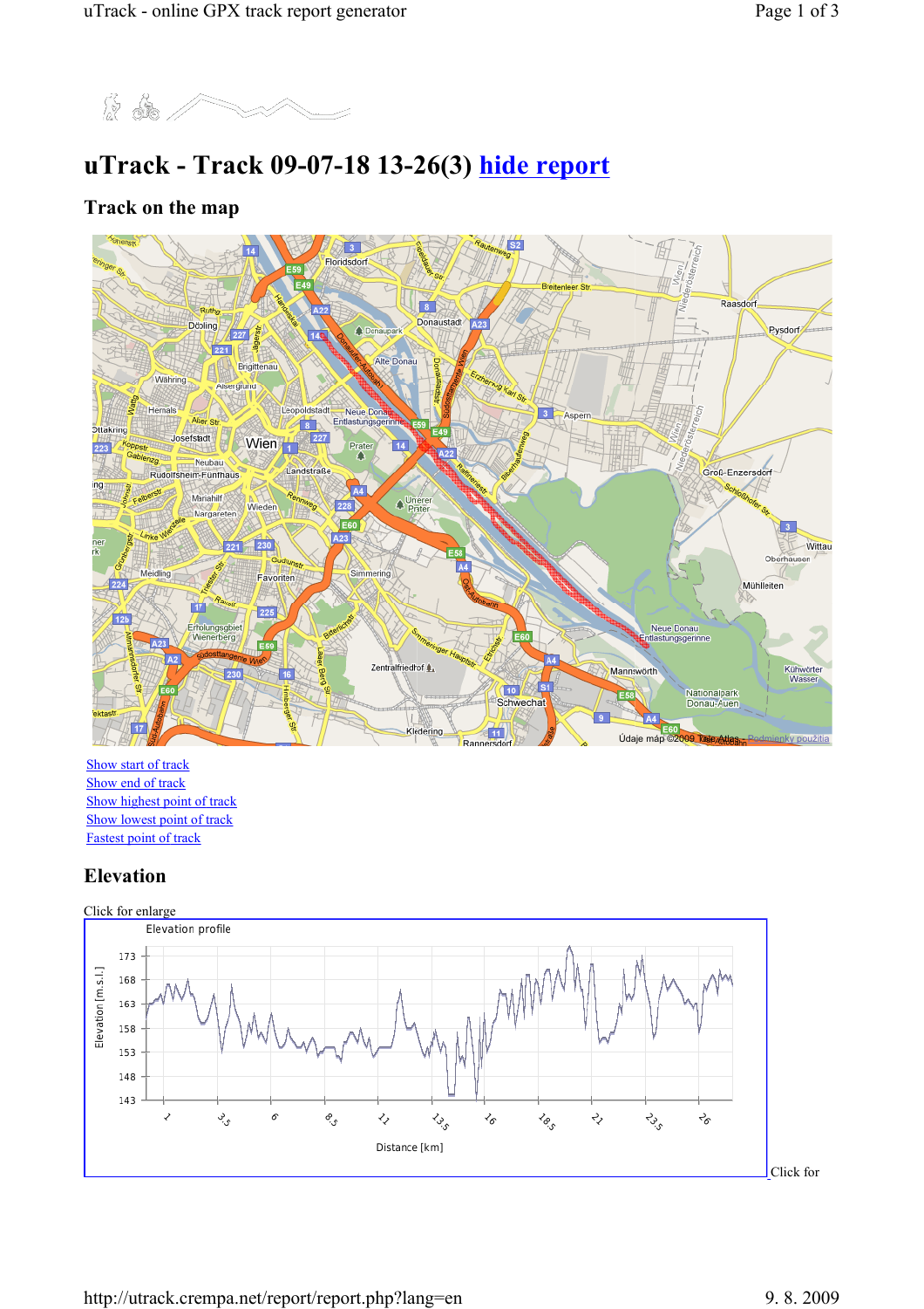

# uTrack - Track 09-07-18 13-26(3) hide report

## Track on the map



Show start of track Show end of track Show highest point of track Show lowest point of track Fastest point of track

### Elevation

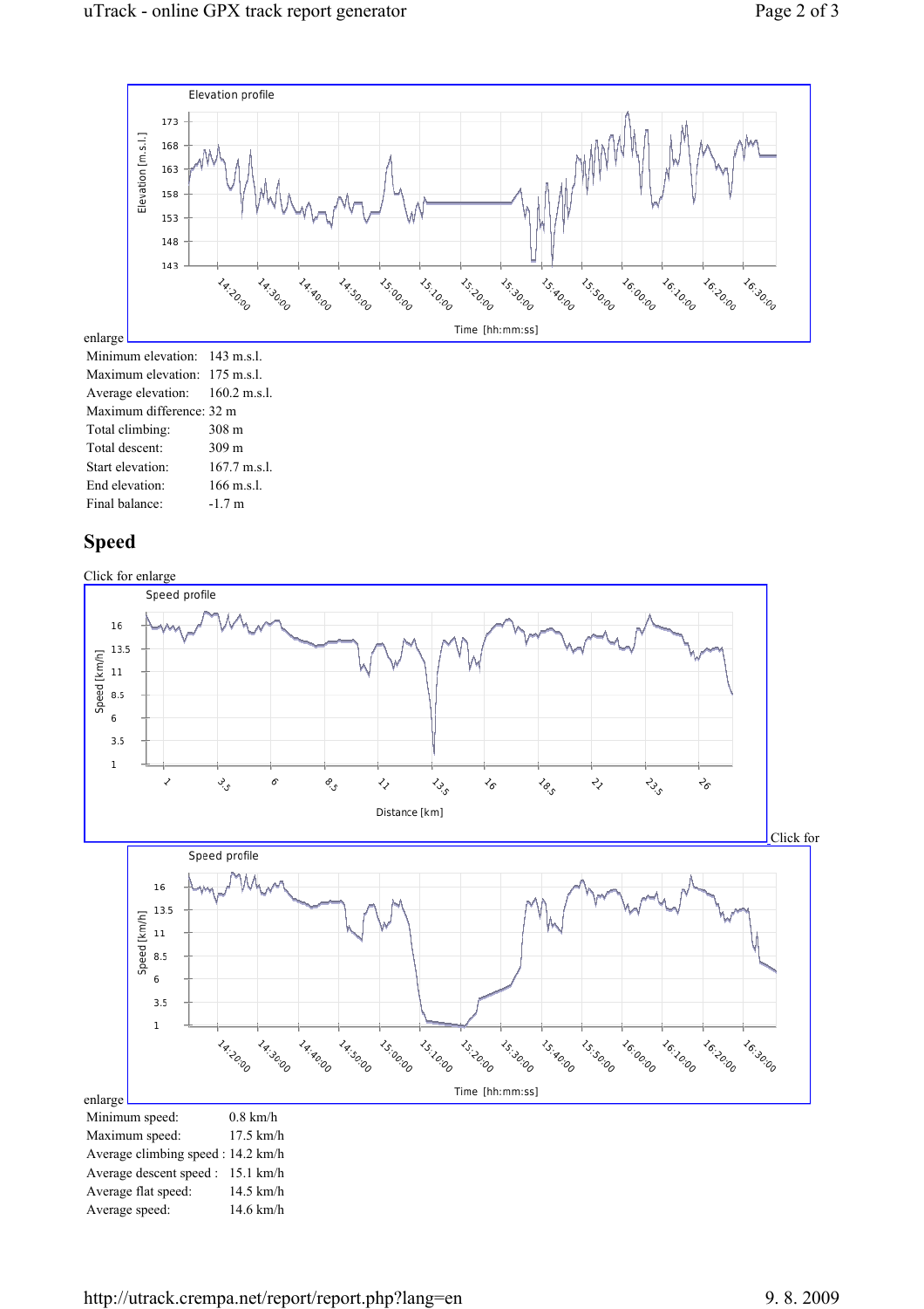

#### Speed